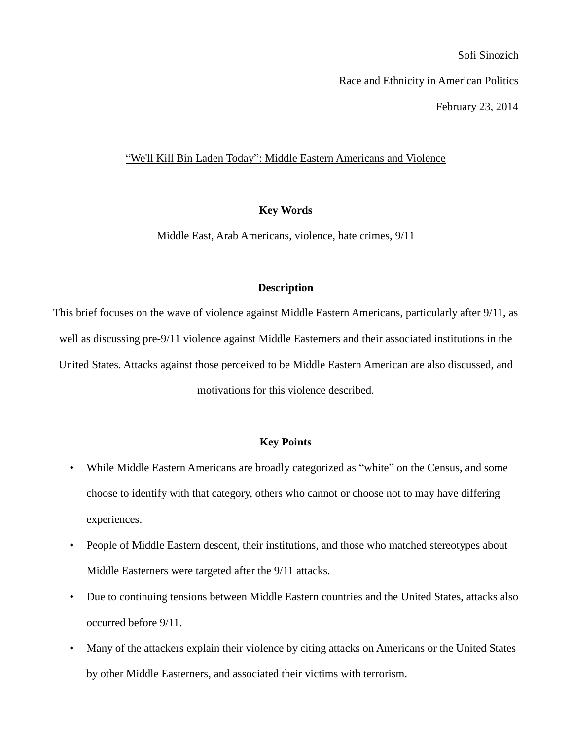Sofi Sinozich

Race and Ethnicity in American Politics

February 23, 2014

## "We'll Kill Bin Laden Today": Middle Eastern Americans and Violence

## **Key Words**

Middle East, Arab Americans, violence, hate crimes, 9/11

# **Description**

This brief focuses on the wave of violence against Middle Eastern Americans, particularly after 9/11, as well as discussing pre-9/11 violence against Middle Easterners and their associated institutions in the United States. Attacks against those perceived to be Middle Eastern American are also discussed, and motivations for this violence described.

## **Key Points**

- While Middle Eastern Americans are broadly categorized as "white" on the Census, and some choose to identify with that category, others who cannot or choose not to may have differing experiences.
- People of Middle Eastern descent, their institutions, and those who matched stereotypes about Middle Easterners were targeted after the 9/11 attacks.
- Due to continuing tensions between Middle Eastern countries and the United States, attacks also occurred before 9/11.
- Many of the attackers explain their violence by citing attacks on Americans or the United States by other Middle Easterners, and associated their victims with terrorism.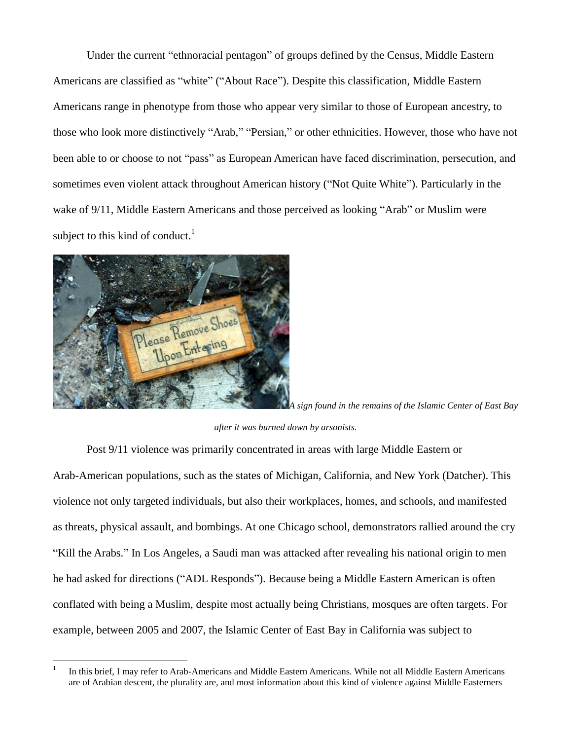Under the current "ethnoracial pentagon" of groups defined by the Census, Middle Eastern Americans are classified as "white" ("About Race"). Despite this classification, Middle Eastern Americans range in phenotype from those who appear very similar to those of European ancestry, to those who look more distinctively "Arab," "Persian," or other ethnicities. However, those who have not been able to or choose to not "pass" as European American have faced discrimination, persecution, and sometimes even violent attack throughout American history ("Not Quite White"). Particularly in the wake of 9/11, Middle Eastern Americans and those perceived as looking "Arab" or Muslim were subject to this kind of conduct. $<sup>1</sup>$ </sup>



 $\overline{a}$ 

*A sign found in the remains of the Islamic Center of East Bay* 

#### *after it was burned down by arsonists.*

Post 9/11 violence was primarily concentrated in areas with large Middle Eastern or Arab-American populations, such as the states of Michigan, California, and New York (Datcher). This violence not only targeted individuals, but also their workplaces, homes, and schools, and manifested as threats, physical assault, and bombings. At one Chicago school, demonstrators rallied around the cry "Kill the Arabs." In Los Angeles, a Saudi man was attacked after revealing his national origin to men he had asked for directions ("ADL Responds"). Because being a Middle Eastern American is often conflated with being a Muslim, despite most actually being Christians, mosques are often targets. For example, between 2005 and 2007, the Islamic Center of East Bay in California was subject to

<sup>1</sup> In this brief, I may refer to Arab-Americans and Middle Eastern Americans. While not all Middle Eastern Americans are of Arabian descent, the plurality are, and most information about this kind of violence against Middle Easterners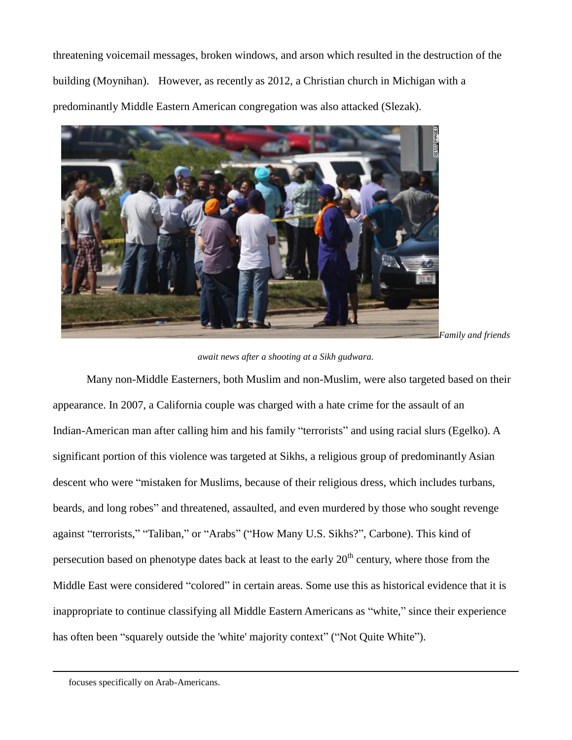threatening voicemail messages, broken windows, and arson which resulted in the destruction of the building (Moynihan). However, as recently as 2012, a Christian church in Michigan with a predominantly Middle Eastern American congregation was also attacked (Slezak).



*await news after a shooting at a Sikh gudwara.*

Many non-Middle Easterners, both Muslim and non-Muslim, were also targeted based on their appearance. In 2007, a California couple was charged with a hate crime for the assault of an Indian-American man after calling him and his family "terrorists" and using racial slurs (Egelko). A significant portion of this violence was targeted at Sikhs, a religious group of predominantly Asian descent who were "mistaken for Muslims, because of their religious dress, which includes turbans, beards, and long robes" and threatened, assaulted, and even murdered by those who sought revenge against "terrorists," "Taliban," or "Arabs" ("How Many U.S. Sikhs?", Carbone). This kind of persecution based on phenotype dates back at least to the early  $20<sup>th</sup>$  century, where those from the Middle East were considered "colored" in certain areas. Some use this as historical evidence that it is inappropriate to continue classifying all Middle Eastern Americans as "white," since their experience has often been "squarely outside the 'white' majority context" ("Not Quite White").

 $\overline{a}$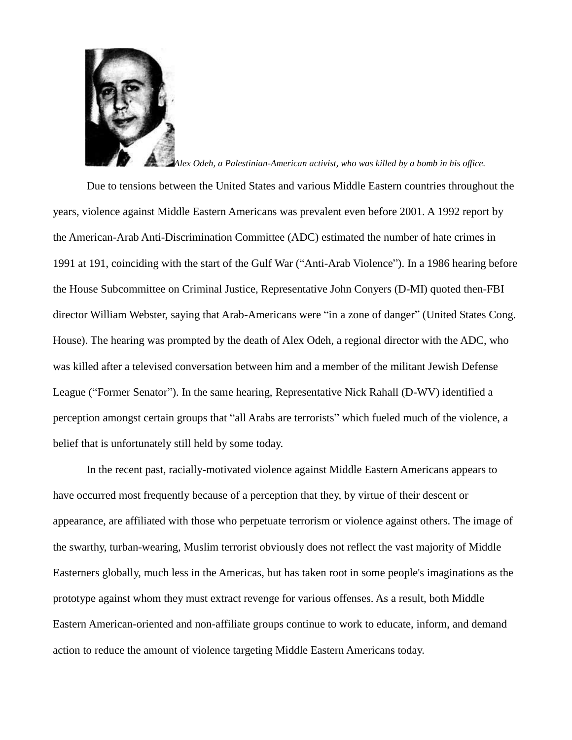

### *Alex Odeh, a Palestinian-American activist, who was killed by a bomb in his office.*

Due to tensions between the United States and various Middle Eastern countries throughout the years, violence against Middle Eastern Americans was prevalent even before 2001. A 1992 report by the American-Arab Anti-Discrimination Committee (ADC) estimated the number of hate crimes in 1991 at 191, coinciding with the start of the Gulf War ("Anti-Arab Violence"). In a 1986 hearing before the House Subcommittee on Criminal Justice, Representative John Conyers (D-MI) quoted then-FBI director William Webster, saying that Arab-Americans were "in a zone of danger" (United States Cong. House). The hearing was prompted by the death of Alex Odeh, a regional director with the ADC, who was killed after a televised conversation between him and a member of the militant Jewish Defense League ("Former Senator"). In the same hearing, Representative Nick Rahall (D-WV) identified a perception amongst certain groups that "all Arabs are terrorists" which fueled much of the violence, a belief that is unfortunately still held by some today.

In the recent past, racially-motivated violence against Middle Eastern Americans appears to have occurred most frequently because of a perception that they, by virtue of their descent or appearance, are affiliated with those who perpetuate terrorism or violence against others. The image of the swarthy, turban-wearing, Muslim terrorist obviously does not reflect the vast majority of Middle Easterners globally, much less in the Americas, but has taken root in some people's imaginations as the prototype against whom they must extract revenge for various offenses. As a result, both Middle Eastern American-oriented and non-affiliate groups continue to work to educate, inform, and demand action to reduce the amount of violence targeting Middle Eastern Americans today.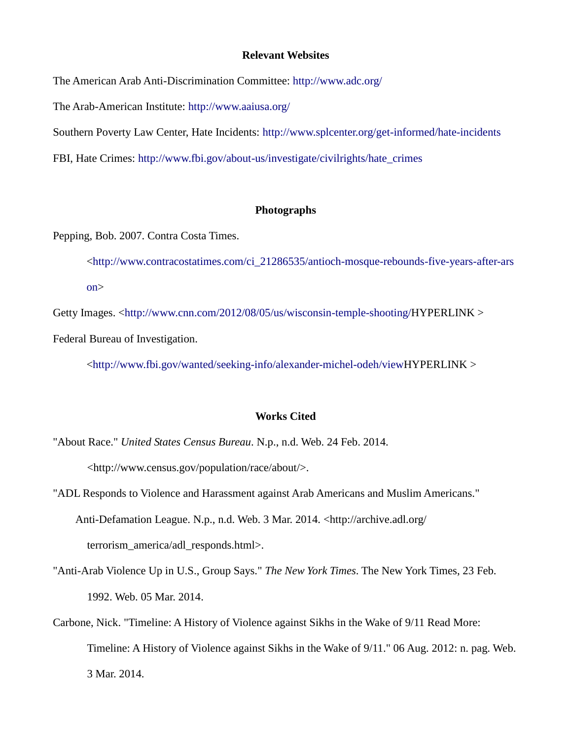### **Relevant Websites**

The American Arab Anti-Discrimination Committee:<http://www.adc.org/>

The Arab-American Institute:<http://www.aaiusa.org/>

Southern Poverty Law Center, Hate Incidents:<http://www.splcenter.org/get-informed/hate-incidents>

FBI, Hate Crimes: [http://www.fbi.gov/about-us/investigate/civilrights/hate\\_crimes](http://www.fbi.gov/about-us/investigate/civilrights/hate_crimes)

### **Photographs**

Pepping, Bob. 2007. Contra Costa Times.

[<http://www.contracostatimes.com/ci\\_21286535/antioch-mosque-rebounds-five-years-after-ars](http://www.contracostatimes.com/ci_21286535/antioch-mosque-rebounds-five-years-after-arson) [on>](http://www.contracostatimes.com/ci_21286535/antioch-mosque-rebounds-five-years-after-arson)

Getty Images. [<http://www.cnn.com/2012/08/05/us/wisconsin-temple-shooting/H](http://www.cnn.com/2012/08/05/us/wisconsin-temple-shooting/)YPERLINK > Federal Bureau of Investigation.

[<http://www.fbi.gov/wanted/seeking-info/alexander-michel-odeh/viewH](http://www.fbi.gov/wanted/seeking-info/alexander-michel-odeh/view)YPERLINK >

# **Works Cited**

"About Race." *United States Census Bureau*. N.p., n.d. Web. 24 Feb. 2014. <http://www.census.gov/population/race/about/>.

- "ADL Responds to Violence and Harassment against Arab Americans and Muslim Americans." Anti-Defamation League. N.p., n.d. Web. 3 Mar. 2014. <http://archive.adl.org/ terrorism\_america/adl\_responds.html>.
- "Anti-Arab Violence Up in U.S., Group Says." *The New York Times*. The New York Times, 23 Feb. 1992. Web. 05 Mar. 2014.
- Carbone, Nick. "Timeline: A History of Violence against Sikhs in the Wake of 9/11 Read More: Timeline: A History of Violence against Sikhs in the Wake of 9/11." 06 Aug. 2012: n. pag. Web. 3 Mar. 2014.